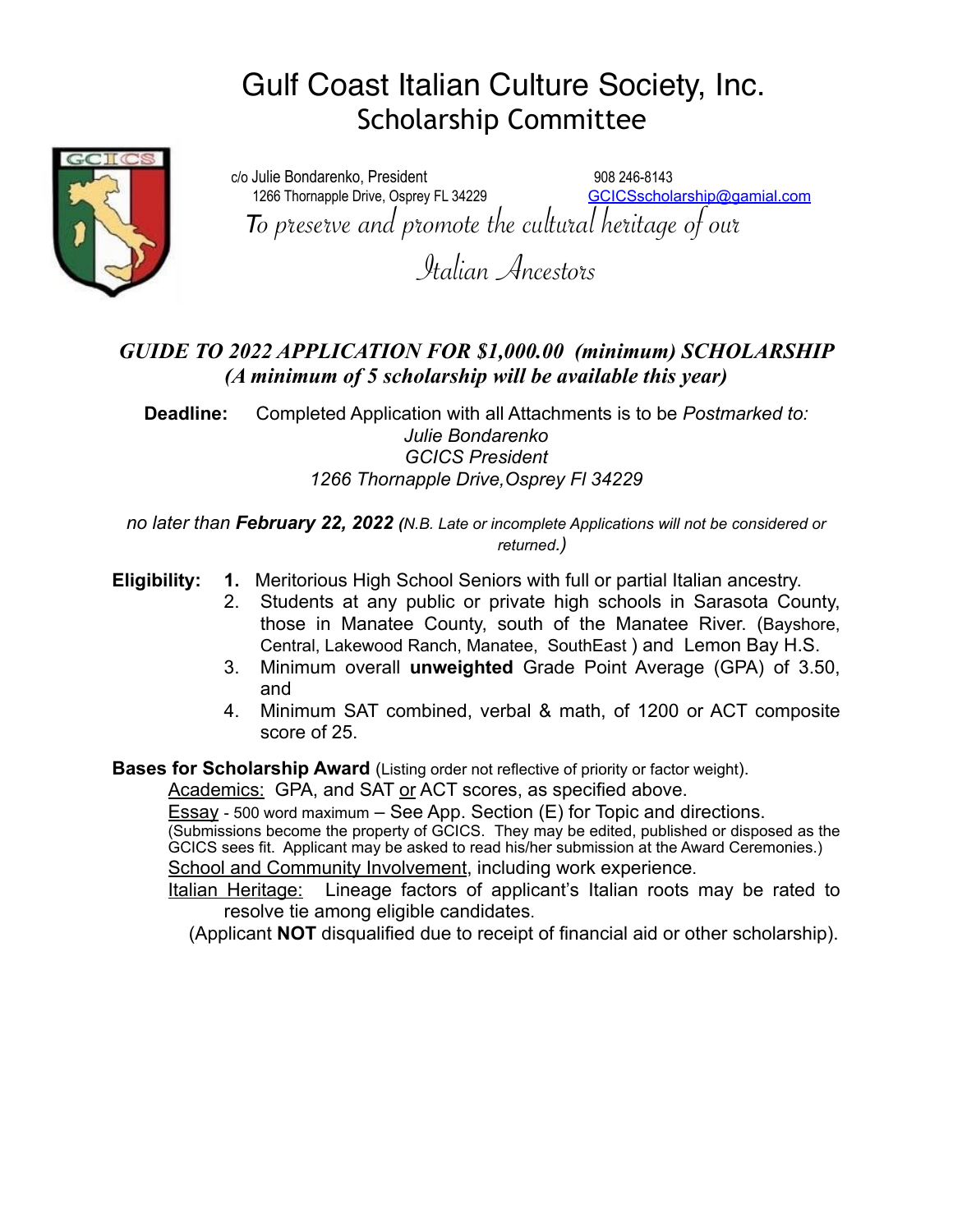# Gulf Coast Italian Culture Society, Inc. Scholarship Committee



c/o Julie Bondarenko, President 908 246-8143 1266 Thornapple Drive, Osprey FL 34229 [GCICSscholarship@gamial.com](mailto:GCICSscholarship@gamial.com) *<sup>T</sup>*o preserve and promote the cultural heritage of our

Italian Ancestors

# *GUIDE TO 2022 APPLICATION FOR \$1,000.00 (minimum) SCHOLARSHIP (A minimum of 5 scholarship will be available this year)*

**Deadline:** Completed Application with all Attachments is to be *Postmarked to: Julie Bondarenko GCICS President 1266 Thornapple Drive,Osprey Fl 34229*

*no later than February 22, 2022 (N.B. Late or incomplete Applications will not be considered or returned.)*

**Eligibility: 1.** Meritorious High School Seniors with full or partial Italian ancestry.

- 2. Students at any public or private high schools in Sarasota County, those in Manatee County, south of the Manatee River. (Bayshore, Central, Lakewood Ranch, Manatee, SouthEast ) and Lemon Bay H.S.
- 3. Minimum overall **unweighted** Grade Point Average (GPA) of 3.50, and
- 4. Minimum SAT combined, verbal & math, of 1200 or ACT composite score of 25.

**Bases for Scholarship Award** (Listing order not reflective of priority or factor weight).

Academics: GPA, and SAT or ACT scores, as specified above.

Essay - 500 word maximum – See App. Section (E) for Topic and directions.

(Submissions become the property of GCICS. They may be edited, published or disposed as the GCICS sees fit. Applicant may be asked to read his/her submission at the Award Ceremonies.) School and Community Involvement, including work experience.

Italian Heritage: Lineage factors of applicant's Italian roots may be rated to resolve tie among eligible candidates.

(Applicant **NOT** disqualified due to receipt of financial aid or other scholarship).